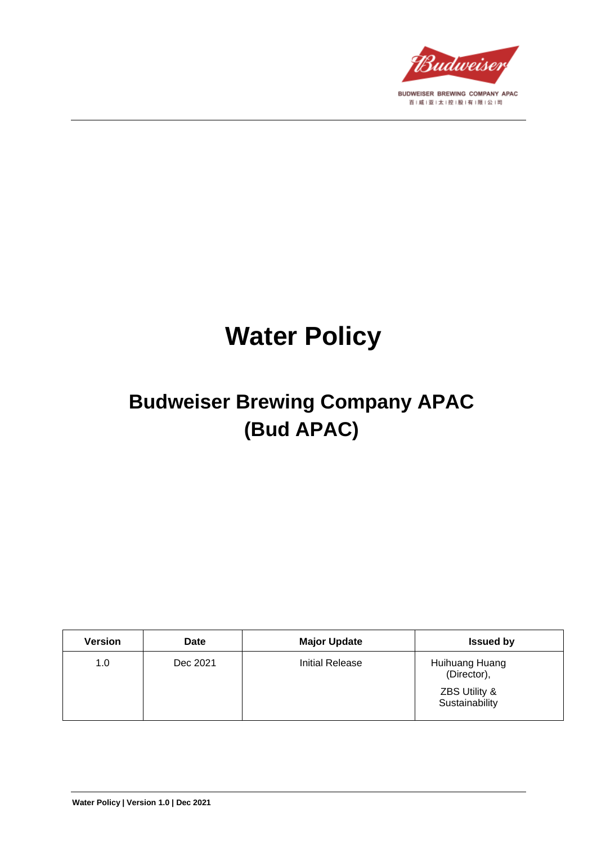

# **Water Policy**

# **Budweiser Brewing Company APAC (Bud APAC)**

| Version | <b>Date</b> | <b>Major Update</b> | <b>Issued by</b>                                                 |
|---------|-------------|---------------------|------------------------------------------------------------------|
| 1.0     | Dec 2021    | Initial Release     | Huihuang Huang<br>(Director),<br>ZBS Utility &<br>Sustainability |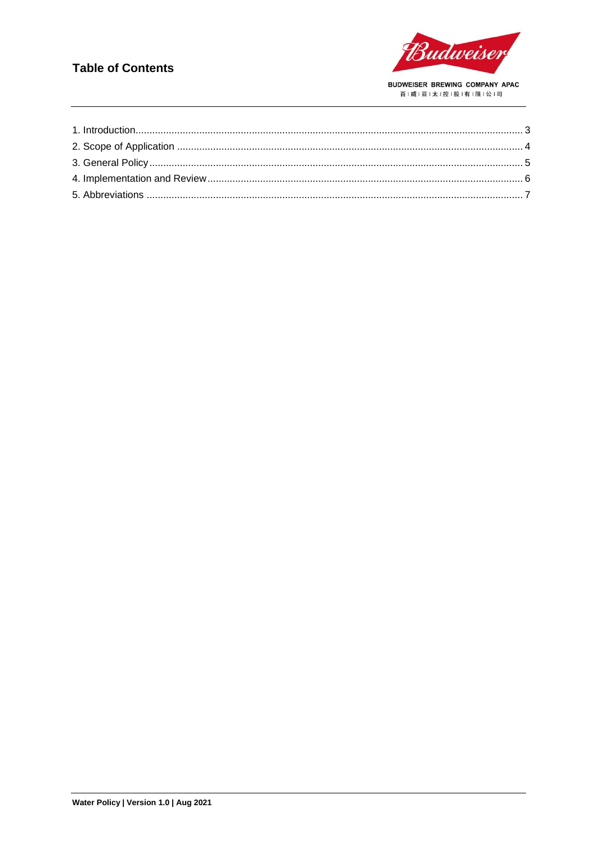#### **Table of Contents**

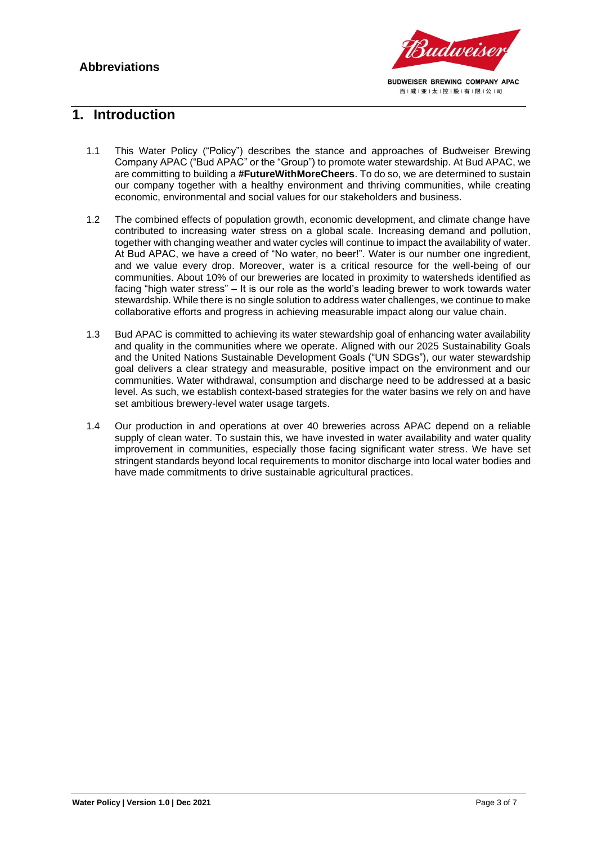

#### <span id="page-2-0"></span>**1. Introduction**

- 1.1 This Water Policy ("Policy") describes the stance and approaches of Budweiser Brewing Company APAC ("Bud APAC" or the "Group") to promote water stewardship. At Bud APAC, we are committing to building a **#FutureWithMoreCheers**. To do so, we are determined to sustain our company together with a healthy environment and thriving communities, while creating economic, environmental and social values for our stakeholders and business.
- 1.2 The combined effects of population growth, economic development, and climate change have contributed to increasing water stress on a global scale. Increasing demand and pollution, together with changing weather and water cycles will continue to impact the availability of water. At Bud APAC, we have a creed of "No water, no beer!". Water is our number one ingredient, and we value every drop. Moreover, water is a critical resource for the well-being of our communities. About 10% of our breweries are located in proximity to watersheds identified as facing "high water stress" – It is our role as the world's leading brewer to work towards water stewardship. While there is no single solution to address water challenges, we continue to make collaborative efforts and progress in achieving measurable impact along our value chain.
- 1.3 Bud APAC is committed to achieving its water stewardship goal of enhancing water availability and quality in the communities where we operate. Aligned with our 2025 Sustainability Goals and the United Nations Sustainable Development Goals ("UN SDGs"), our water stewardship goal delivers a clear strategy and measurable, positive impact on the environment and our communities. Water withdrawal, consumption and discharge need to be addressed at a basic level. As such, we establish context-based strategies for the water basins we rely on and have set ambitious brewery-level water usage targets.
- 1.4 Our production in and operations at over 40 breweries across APAC depend on a reliable supply of clean water. To sustain this, we have invested in water availability and water quality improvement in communities, especially those facing significant water stress. We have set stringent standards beyond local requirements to monitor discharge into local water bodies and have made commitments to drive sustainable agricultural practices.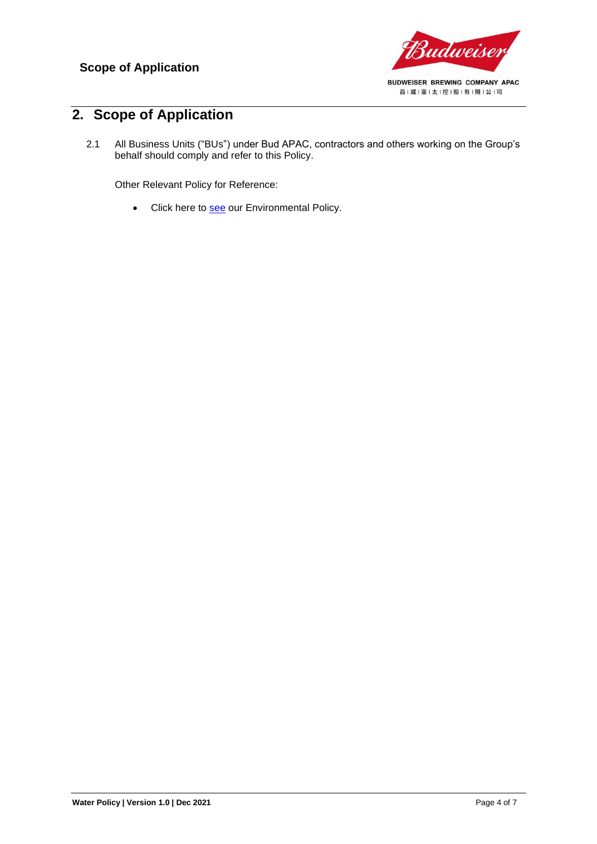

## <span id="page-3-0"></span>**2. Scope of Application**

2.1 All Business Units ("BUs") under Bud APAC, contractors and others working on the Group's behalf should comply and refer to this Policy.

Other Relevant Policy for Reference:

• Click here to [see](https://budweiserapac.com/ace_files/files/policy2021/BudAPAC_Environmental%20Policy.pdf) our Environmental Policy.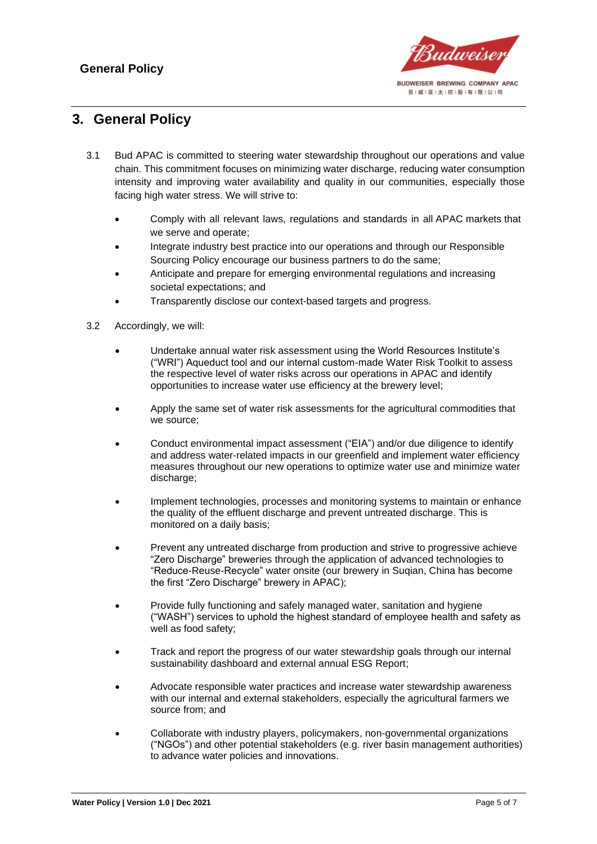

### <span id="page-4-0"></span>**3. General Policy**

- 3.1 Bud APAC is committed to steering water stewardship throughout our operations and value chain. This commitment focuses on minimizing water discharge, reducing water consumption intensity and improving water availability and quality in our communities, especially those facing high water stress. We will strive to:
	- Comply with all relevant laws, regulations and standards in all APAC markets that we serve and operate;
	- Integrate industry best practice into our operations and through our Responsible Sourcing Policy encourage our business partners to do the same;
	- Anticipate and prepare for emerging environmental regulations and increasing societal expectations; and
	- Transparently disclose our context-based targets and progress.
- 3.2 Accordingly, we will:
	- Undertake annual water risk assessment using the World Resources Institute's ("WRI") Aqueduct tool and our internal custom-made Water Risk Toolkit to assess the respective level of water risks across our operations in APAC and identify opportunities to increase water use efficiency at the brewery level;
	- Apply the same set of water risk assessments for the agricultural commodities that we source;
	- Conduct environmental impact assessment ("EIA") and/or due diligence to identify and address water-related impacts in our greenfield and implement water efficiency measures throughout our new operations to optimize water use and minimize water discharge;
	- Implement technologies, processes and monitoring systems to maintain or enhance the quality of the effluent discharge and prevent untreated discharge. This is monitored on a daily basis;
	- Prevent any untreated discharge from production and strive to progressive achieve "Zero Discharge" breweries through the application of advanced technologies to "Reduce-Reuse-Recycle" water onsite (our brewery in Suqian, China has become the first "Zero Discharge" brewery in APAC);
	- Provide fully functioning and safely managed water, sanitation and hygiene ("WASH") services to uphold the highest standard of employee health and safety as well as food safety;
	- Track and report the progress of our water stewardship goals through our internal sustainability dashboard and external annual ESG Report;
	- Advocate responsible water practices and increase water stewardship awareness with our internal and external stakeholders, especially the agricultural farmers we source from; and
	- Collaborate with industry players, policymakers, non-governmental organizations ("NGOs") and other potential stakeholders (e.g. river basin management authorities) to advance water policies and innovations.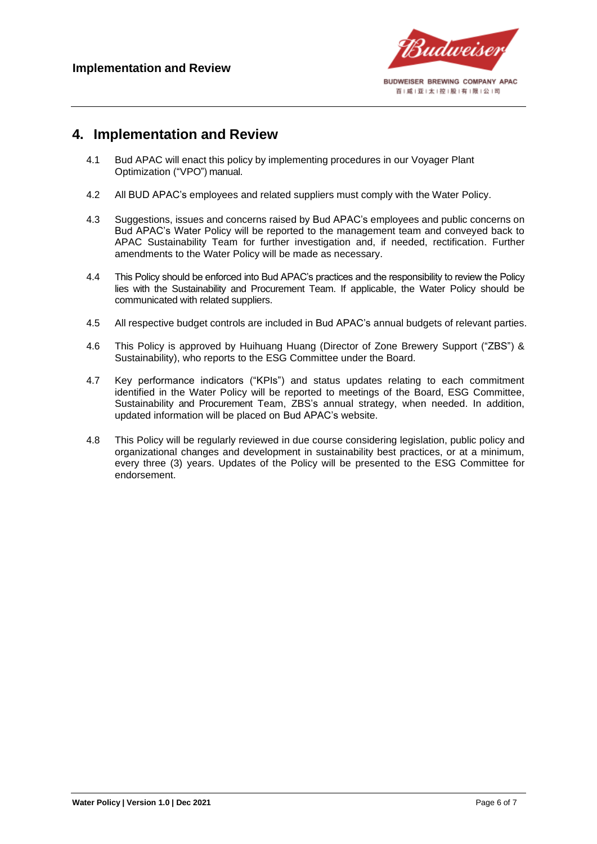

#### <span id="page-5-0"></span>**4. Implementation and Review**

- 4.1 Bud APAC will enact this policy by implementing procedures in our Voyager Plant Optimization ("VPO") manual.
- 4.2 All BUD APAC's employees and related suppliers must comply with the Water Policy.
- 4.3 Suggestions, issues and concerns raised by Bud APAC's employees and public concerns on Bud APAC's Water Policy will be reported to the management team and conveyed back to APAC Sustainability Team for further investigation and, if needed, rectification. Further amendments to the Water Policy will be made as necessary.
- 4.4 This Policy should be enforced into Bud APAC's practices and the responsibility to review the Policy lies with the Sustainability and Procurement Team. If applicable, the Water Policy should be communicated with related suppliers.
- 4.5 All respective budget controls are included in Bud APAC's annual budgets of relevant parties.
- 4.6 This Policy is approved by Huihuang Huang (Director of Zone Brewery Support ("ZBS") & Sustainability), who reports to the ESG Committee under the Board.
- 4.7 Key performance indicators ("KPIs") and status updates relating to each commitment identified in the Water Policy will be reported to meetings of the Board, ESG Committee, Sustainability and Procurement Team, ZBS's annual strategy, when needed. In addition, updated information will be placed on Bud APAC's website.
- 4.8 This Policy will be regularly reviewed in due course considering legislation, public policy and organizational changes and development in sustainability best practices, or at a minimum, every three (3) years. Updates of the Policy will be presented to the ESG Committee for endorsement.